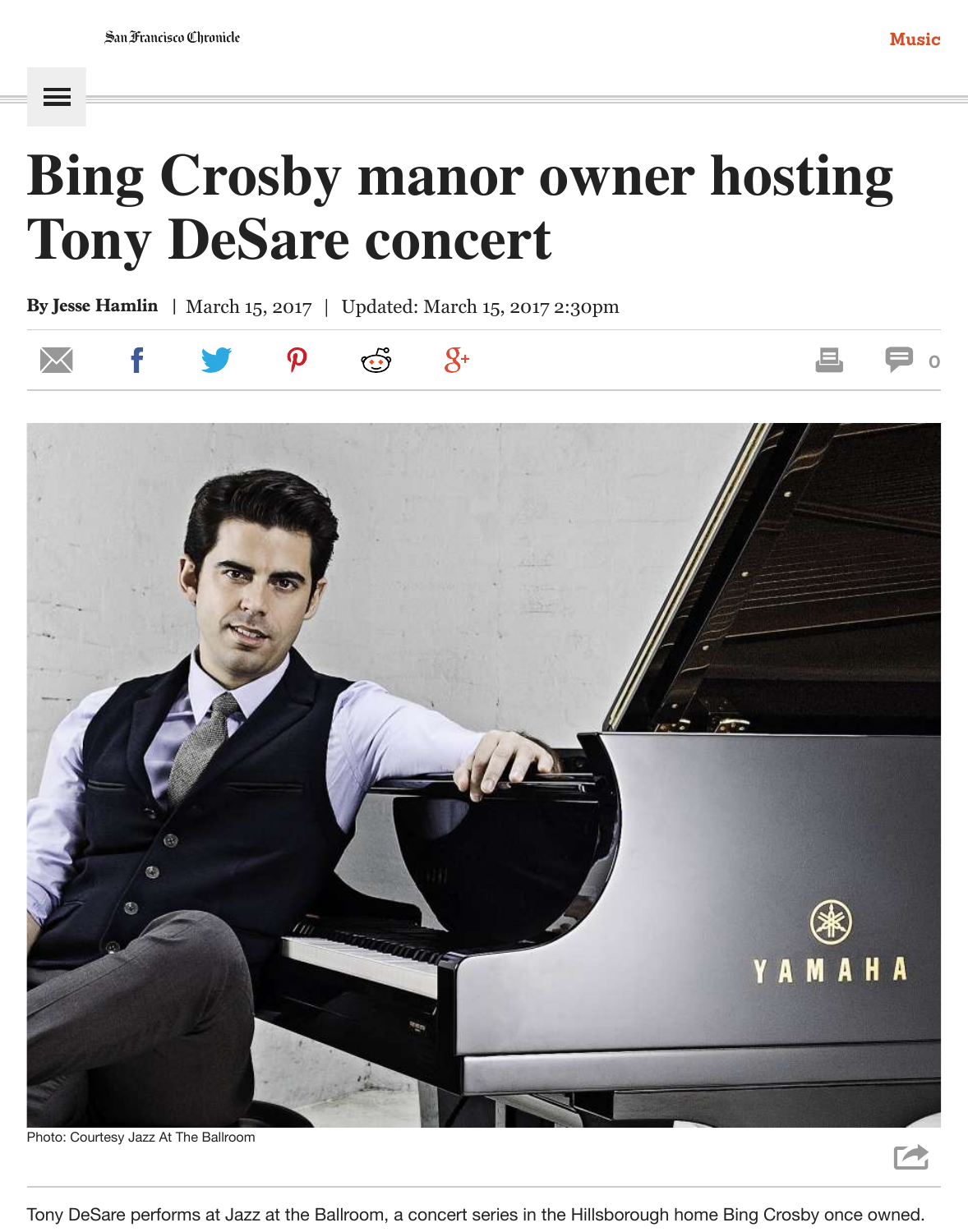# **Bing Crosby manor owner hosting Tony DeSare concert**

By Jesse Hamlin | March 15, 2017 | Updated: March 15, 2017 2:30pm

 $\boldsymbol{\Omega}$ 





Tony DeSare performs at Jazz at the Ballroom, a concert series in the Hillsborough home Bing Crosby once owned.

**[0](http://www.sfchronicle.com/music/article/Bing-Crosby-manor-owner-hosting-Tony-DeSare-11004220.php#comments)**

 $\blacktriangleright$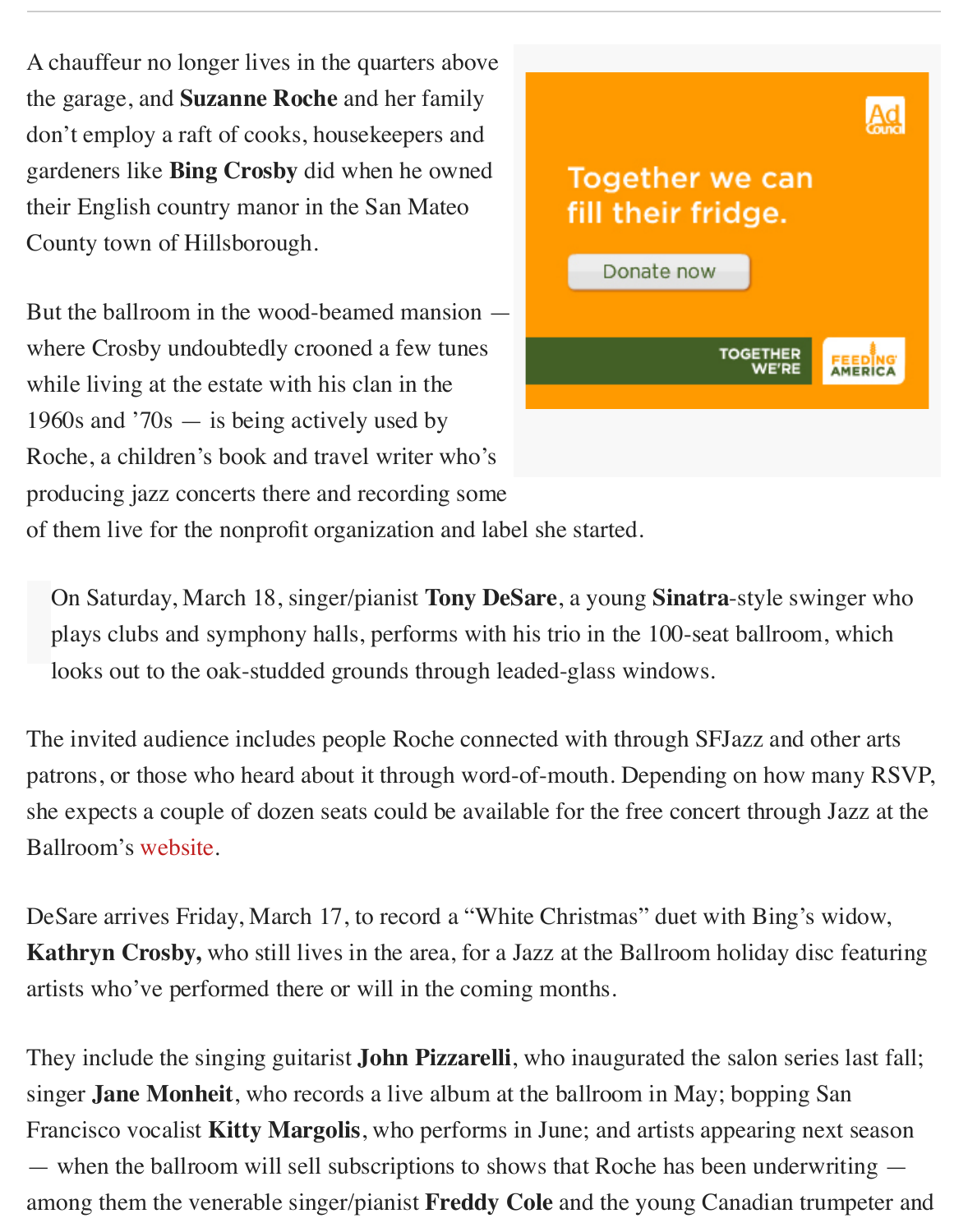A chauffeur no longer lives in the quarters above the garage, and **Suzanne Roche** and her family don't employ a raft of cooks, housekeepers and gardeners like **Bing Crosby** did when he owned their English country manor in the San Mateo County town of Hillsborough.

But the ballroom in the wood-beamed mansion where Crosby undoubtedly crooned a few tunes while living at the estate with his clan in the 1960s and '70s — is being actively used by Roche, a children's book and travel writer who's producing jazz concerts there and recording some



of them live for the nonprofit organization and label she started.

On Saturday, March 18, singer/pianist **Tony DeSare**, a young **Sinatra**-style swinger who plays clubs and symphony halls, performs with his trio in the 100-seat ballroom, which looks out to the oak-studded grounds through leaded-glass windows.

The invited audience includes people Roche connected with through SFJazz and other arts patrons, or those who heard about it through word-of-mouth. Depending on how many RSVP, she expects a couple of dozen seats could be available for the free concert through Jazz at the Ballroom's [website](https://www.jazzattheballroom.com/).

DeSare arrives Friday, March 17, to record a "White Christmas" duet with Bing's widow, **Kathryn Crosby,** who still lives in the area, for a Jazz at the Ballroom holiday disc featuring artists who've performed there or will in the coming months.

They include the singing guitarist **John Pizzarelli**, who inaugurated the salon series last fall; singer **Jane Monheit**, who records a live album at the ballroom in May; bopping San Francisco vocalist **Kitty Margolis**, who performs in June; and artists appearing next season — when the ballroom will sell subscriptions to shows that Roche has been underwriting among them the venerable singer/pianist **Freddy Cole** and the young Canadian trumpeter and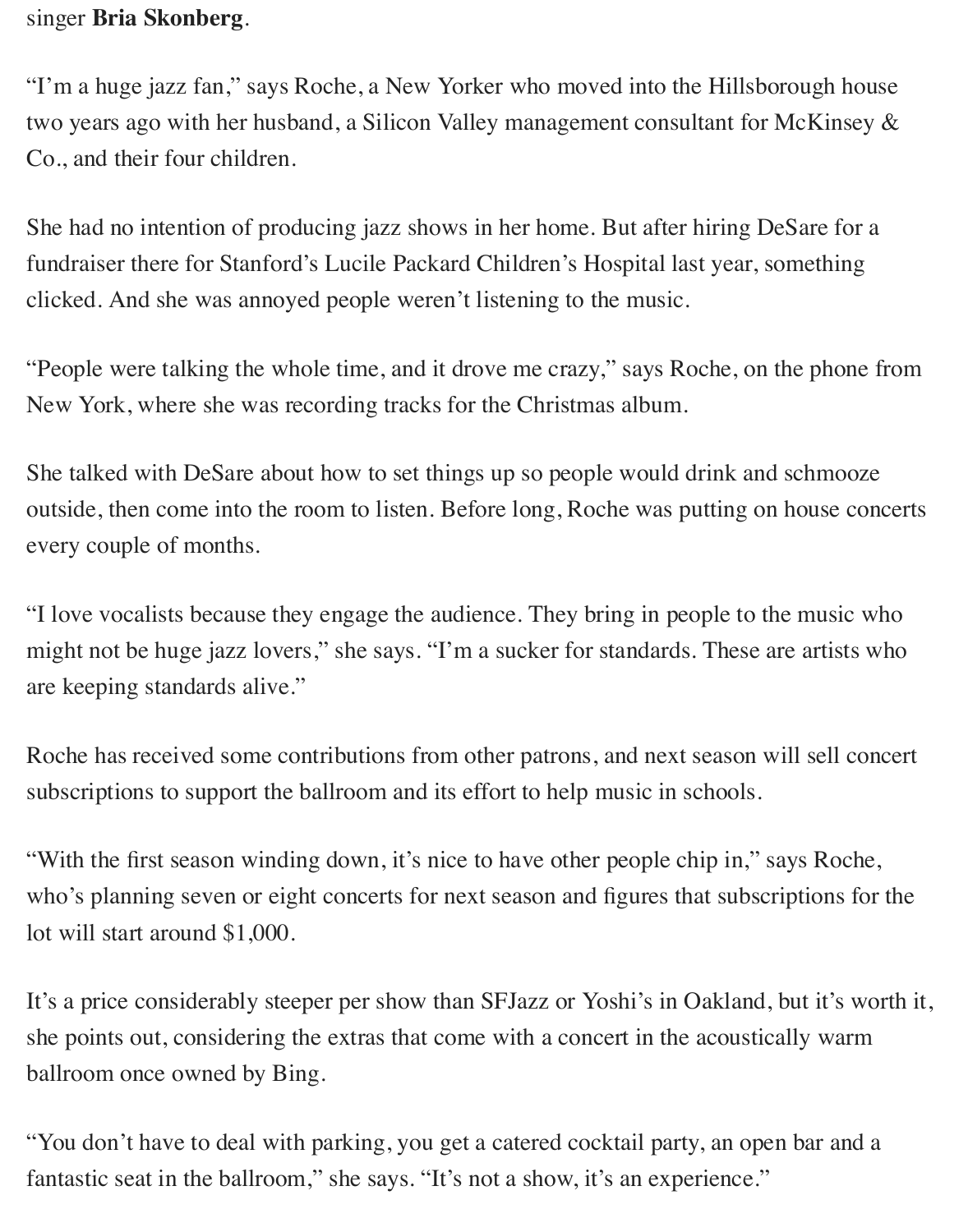#### singer **Bria Skonberg**.

"I'm a huge jazz fan," says Roche, a New Yorker who moved into the Hillsborough house two years ago with her husband, a Silicon Valley management consultant for McKinsey & Co., and their four children.

She had no intention of producing jazz shows in her home. But after hiring DeSare for a fundraiser there for Stanford's Lucile Packard Children's Hospital last year, something clicked. And she was annoyed people weren't listening to the music.

"People were talking the whole time, and it drove me crazy," says Roche, on the phone from New York, where she was recording tracks for the Christmas album.

She talked with DeSare about how to set things up so people would drink and schmooze outside, then come into the room to listen. Before long, Roche was putting on house concerts every couple of months.

"I love vocalists because they engage the audience. They bring in people to the music who might not be huge jazz lovers," she says. "I'm a sucker for standards. These are artists who are keeping standards alive."

Roche has received some contributions from other patrons, and next season will sell concert subscriptions to support the ballroom and its effort to help music in schools.

"With the first season winding down, it's nice to have other people chip in," says Roche, who's planning seven or eight concerts for next season and figures that subscriptions for the lot will start around \$1,000.

It's a price considerably steeper per show than SFJazz or Yoshi's in Oakland, but it's worth it, she points out, considering the extras that come with a concert in the acoustically warm ballroom once owned by Bing.

"You don't have to deal with parking, you get a catered cocktail party, an open bar and a fantastic seat in the ballroom," she says. "It's not a show, it's an experience."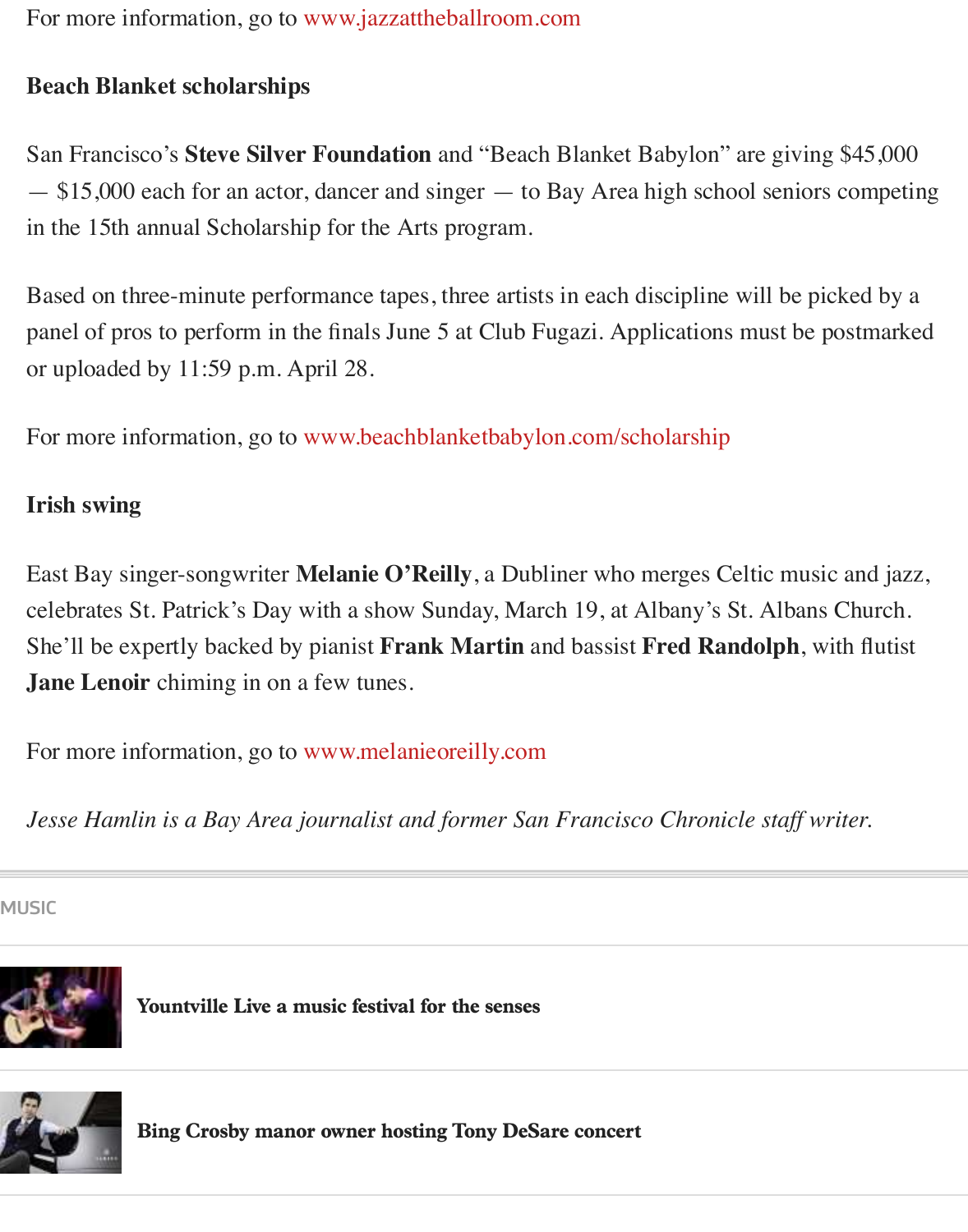For more information, go to [www.jazzattheballroom.com](http://www.jazzattheballroom.com/)

## **Beach Blanket scholarships**

San Francisco's **Steve Silver Foundation** and "Beach Blanket Babylon" are giving \$45,000 — \$15,000 each for an actor, dancer and singer — to Bay Area high school seniors competing in the 15th annual Scholarship for the Arts program.

Based on three-minute performance tapes, three artists in each discipline will be picked by a panel of pros to perform in the finals June 5 at Club Fugazi. Applications must be postmarked or uploaded by 11:59 p.m. April 28.

For more information, go to [www.beachblanketbabylon.com/scholarship](https://urldefense.proofpoint.com/v2/url?u=http-3A__charleszukow.us5.list-2Dmanage1.com_track_click-3Fu-3D1a4aadfc1286d78b663d4e2af-26id-3Dcedad3e622-26e-3D8a9fcee97c&d=DwMFaQ&c=B73tqXN8Ec0ocRmZHMCntw&r=RiAqy1mzCT-KzRMGu-21JMailLIaoAGNl-yZUp_trQU&m=DmNzsJ0aVKz7Jbs0N50rAIMCBCcV536GuE6bpF4soIg&s=jQPVByHisW82Ltm9gMwfLgGI-kZU8KcvekaGC8EekoI&e=)

## **Irish swing**

East Bay singer-songwriter **Melanie O'Reilly**, a Dubliner who merges Celtic music and jazz, celebrates St. Patrick's Day with a show Sunday, March 19, at Albany's St. Albans Church. She'll be expertly backed by pianist **Frank Martin** and bassist **Fred Randolph**, with flutist **Jane Lenoir** chiming in on a few tunes.

For more information, go to [www.melanieoreilly.com](http://www.melanieoreilly.com/)

*Jesse Hamlin is a Bay Area journalist and former San Francisco Chronicle staff writer.*

[MUSIC](http://www.sfchronicle.com/music/article/Bing-Crosby-manor-owner-hosting-Tony-DeSare-11004220.php)



[Yountville Live a music festival for the senses](http://www.sfchronicle.com/music/article/Yountville-Live-a-music-festival-for-the-senses-11001163.php)



[Bing Crosby manor owner hosting Tony DeSare concert](http://www.sfchronicle.com/music/article/Bing-Crosby-manor-owner-hosting-Tony-DeSare-11004220.php)